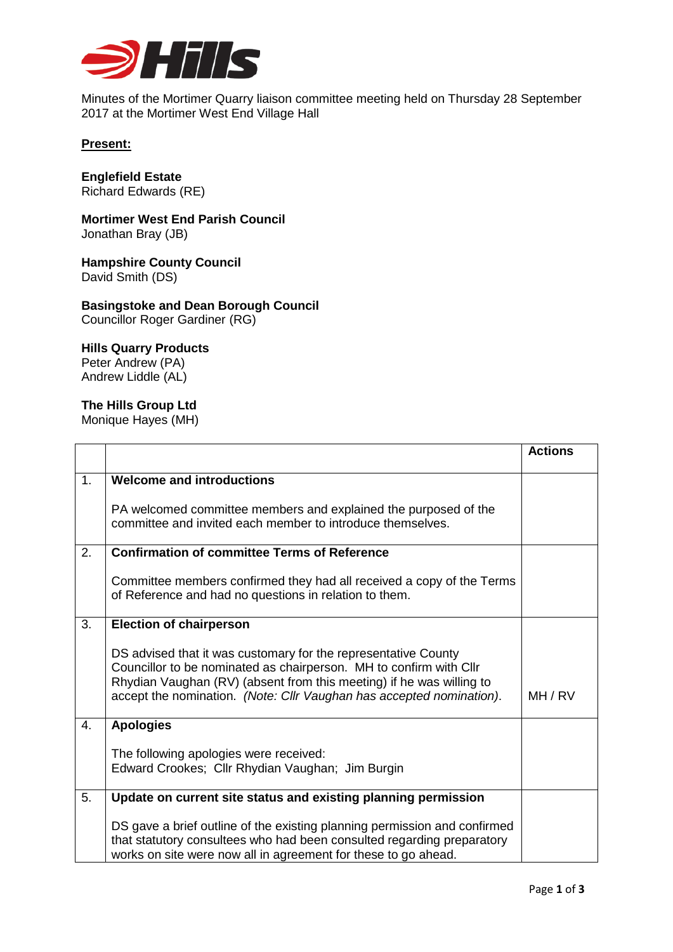

Minutes of the Mortimer Quarry liaison committee meeting held on Thursday 28 September 2017 at the Mortimer West End Village Hall

## **Present:**

**Englefield Estate** Richard Edwards (RE)

**Mortimer West End Parish Council** Jonathan Bray (JB)

**Hampshire County Council** David Smith (DS)

**Basingstoke and Dean Borough Council** Councillor Roger Gardiner (RG)

## **Hills Quarry Products**

Peter Andrew (PA) Andrew Liddle (AL)

## **The Hills Group Ltd**

Monique Hayes (MH)

|    |                                                                                                                                                                                                                                                                                      | <b>Actions</b> |
|----|--------------------------------------------------------------------------------------------------------------------------------------------------------------------------------------------------------------------------------------------------------------------------------------|----------------|
| 1. | <b>Welcome and introductions</b>                                                                                                                                                                                                                                                     |                |
|    | PA welcomed committee members and explained the purposed of the<br>committee and invited each member to introduce themselves.                                                                                                                                                        |                |
| 2. | <b>Confirmation of committee Terms of Reference</b>                                                                                                                                                                                                                                  |                |
|    | Committee members confirmed they had all received a copy of the Terms<br>of Reference and had no questions in relation to them.                                                                                                                                                      |                |
| 3. | <b>Election of chairperson</b>                                                                                                                                                                                                                                                       |                |
|    | DS advised that it was customary for the representative County<br>Councillor to be nominated as chairperson. MH to confirm with Cllr<br>Rhydian Vaughan (RV) (absent from this meeting) if he was willing to<br>accept the nomination. (Note: Cllr Vaughan has accepted nomination). | MH / RV        |
| 4. | <b>Apologies</b>                                                                                                                                                                                                                                                                     |                |
|    | The following apologies were received:<br>Edward Crookes; Cllr Rhydian Vaughan; Jim Burgin                                                                                                                                                                                           |                |
| 5. | Update on current site status and existing planning permission                                                                                                                                                                                                                       |                |
|    | DS gave a brief outline of the existing planning permission and confirmed<br>that statutory consultees who had been consulted regarding preparatory<br>works on site were now all in agreement for these to go ahead.                                                                |                |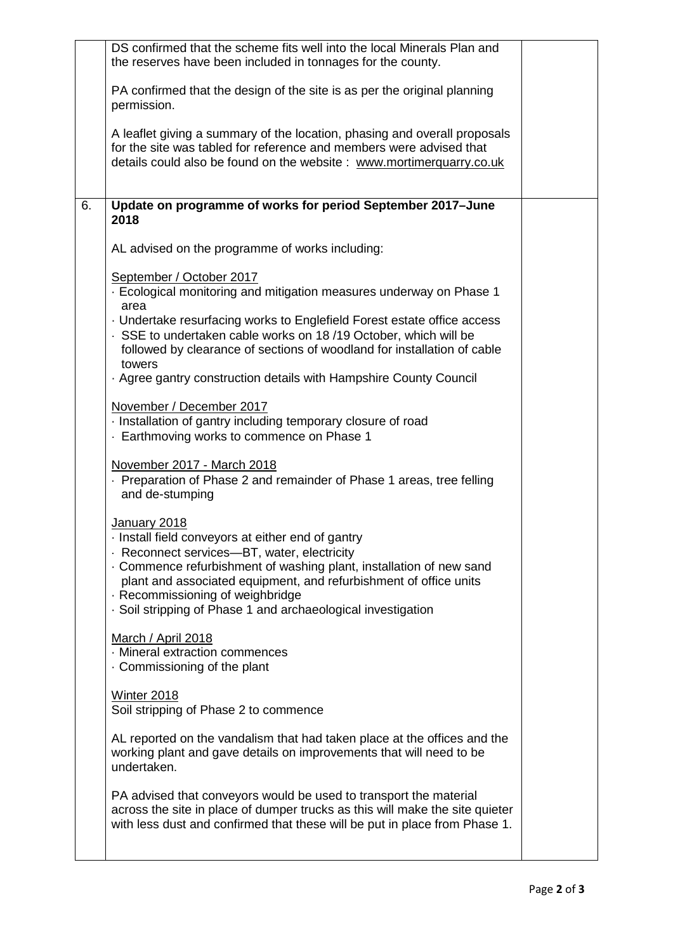|    | DS confirmed that the scheme fits well into the local Minerals Plan and<br>the reserves have been included in tonnages for the county.                                                                                                                                                                                                                           |  |
|----|------------------------------------------------------------------------------------------------------------------------------------------------------------------------------------------------------------------------------------------------------------------------------------------------------------------------------------------------------------------|--|
|    | PA confirmed that the design of the site is as per the original planning<br>permission.                                                                                                                                                                                                                                                                          |  |
|    | A leaflet giving a summary of the location, phasing and overall proposals<br>for the site was tabled for reference and members were advised that<br>details could also be found on the website: www.mortimerquarry.co.uk                                                                                                                                         |  |
| 6. | Update on programme of works for period September 2017-June<br>2018                                                                                                                                                                                                                                                                                              |  |
|    | AL advised on the programme of works including:                                                                                                                                                                                                                                                                                                                  |  |
|    | September / October 2017<br>Ecological monitoring and mitigation measures underway on Phase 1                                                                                                                                                                                                                                                                    |  |
|    | area                                                                                                                                                                                                                                                                                                                                                             |  |
|    | • Undertake resurfacing works to Englefield Forest estate office access<br>· SSE to undertaken cable works on 18/19 October, which will be<br>followed by clearance of sections of woodland for installation of cable<br>towers                                                                                                                                  |  |
|    | . Agree gantry construction details with Hampshire County Council                                                                                                                                                                                                                                                                                                |  |
|    | November / December 2017<br>· Installation of gantry including temporary closure of road<br>Earthmoving works to commence on Phase 1                                                                                                                                                                                                                             |  |
|    | November 2017 - March 2018<br>Preparation of Phase 2 and remainder of Phase 1 areas, tree felling<br>and de-stumping                                                                                                                                                                                                                                             |  |
|    | January 2018<br>· Install field conveyors at either end of gantry<br>· Reconnect services-BT, water, electricity<br>. Commence refurbishment of washing plant, installation of new sand<br>plant and associated equipment, and refurbishment of office units<br>· Recommissioning of weighbridge<br>· Soil stripping of Phase 1 and archaeological investigation |  |
|    | March / April 2018<br>· Mineral extraction commences<br>Commissioning of the plant                                                                                                                                                                                                                                                                               |  |
|    | <b>Winter 2018</b><br>Soil stripping of Phase 2 to commence                                                                                                                                                                                                                                                                                                      |  |
|    | AL reported on the vandalism that had taken place at the offices and the<br>working plant and gave details on improvements that will need to be<br>undertaken.                                                                                                                                                                                                   |  |
|    | PA advised that conveyors would be used to transport the material<br>across the site in place of dumper trucks as this will make the site quieter<br>with less dust and confirmed that these will be put in place from Phase 1.                                                                                                                                  |  |
|    |                                                                                                                                                                                                                                                                                                                                                                  |  |